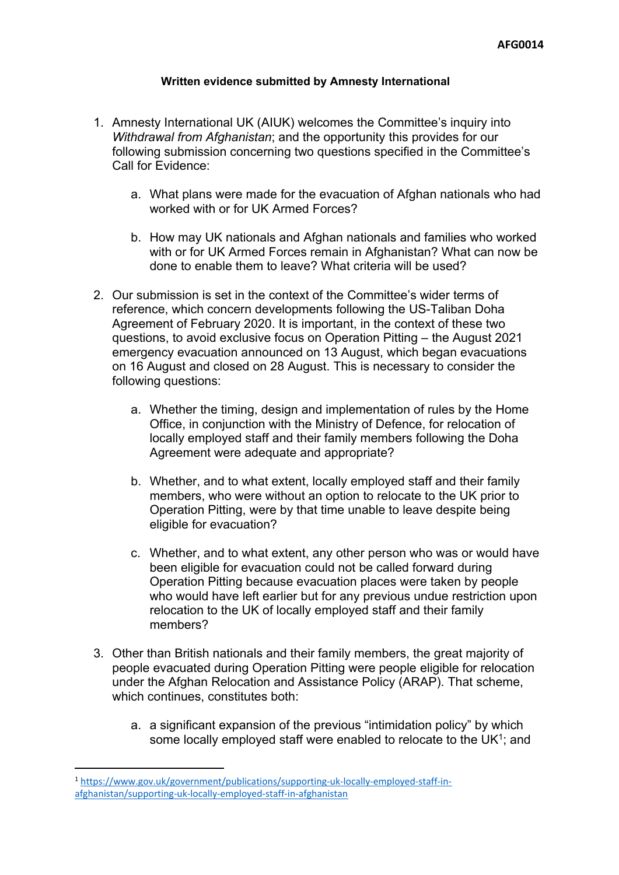## **Written evidence submitted by Amnesty International**

- 1. Amnesty International UK (AIUK) welcomes the Committee's inquiry into *Withdrawal from Afghanistan*; and the opportunity this provides for our following submission concerning two questions specified in the Committee's Call for Evidence:
	- a. What plans were made for the evacuation of Afghan nationals who had worked with or for UK Armed Forces?
	- b. How may UK nationals and Afghan nationals and families who worked with or for UK Armed Forces remain in Afghanistan? What can now be done to enable them to leave? What criteria will be used?
- 2. Our submission is set in the context of the Committee's wider terms of reference, which concern developments following the US-Taliban Doha Agreement of February 2020. It is important, in the context of these two questions, to avoid exclusive focus on Operation Pitting – the August 2021 emergency evacuation announced on 13 August, which began evacuations on 16 August and closed on 28 August. This is necessary to consider the following questions:
	- a. Whether the timing, design and implementation of rules by the Home Office, in conjunction with the Ministry of Defence, for relocation of locally employed staff and their family members following the Doha Agreement were adequate and appropriate?
	- b. Whether, and to what extent, locally employed staff and their family members, who were without an option to relocate to the UK prior to Operation Pitting, were by that time unable to leave despite being eligible for evacuation?
	- c. Whether, and to what extent, any other person who was or would have been eligible for evacuation could not be called forward during Operation Pitting because evacuation places were taken by people who would have left earlier but for any previous undue restriction upon relocation to the UK of locally employed staff and their family members?
- 3. Other than British nationals and their family members, the great majority of people evacuated during Operation Pitting were people eligible for relocation under the Afghan Relocation and Assistance Policy (ARAP). That scheme, which continues, constitutes both:
	- a. a significant expansion of the previous "intimidation policy" by which some locally employed staff were enabled to relocate to the UK<sup>1</sup>; and

<sup>1</sup> [https://www.gov.uk/government/publications/supporting-uk-locally-employed-staff-in](https://www.gov.uk/government/publications/supporting-uk-locally-employed-staff-in-afghanistan/supporting-uk-locally-employed-staff-in-afghanistan)[afghanistan/supporting-uk-locally-employed-staff-in-afghanistan](https://www.gov.uk/government/publications/supporting-uk-locally-employed-staff-in-afghanistan/supporting-uk-locally-employed-staff-in-afghanistan)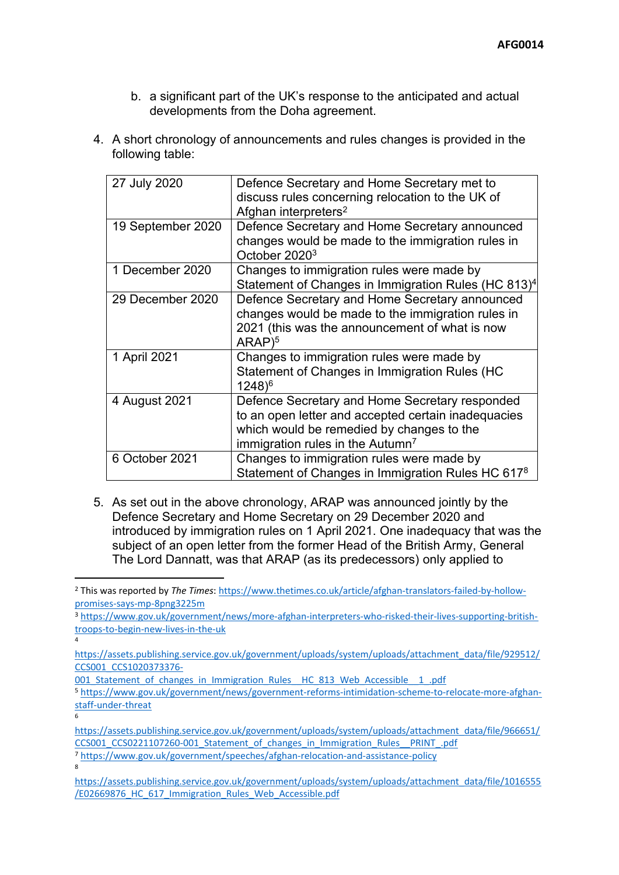- b. a significant part of the UK's response to the anticipated and actual developments from the Doha agreement.
- 4. A short chronology of announcements and rules changes is provided in the following table:

| 27 July 2020      | Defence Secretary and Home Secretary met to<br>discuss rules concerning relocation to the UK of<br>Afghan interpreters <sup>2</sup>                                                                |
|-------------------|----------------------------------------------------------------------------------------------------------------------------------------------------------------------------------------------------|
| 19 September 2020 | Defence Secretary and Home Secretary announced<br>changes would be made to the immigration rules in<br>October 2020 <sup>3</sup>                                                                   |
| 1 December 2020   | Changes to immigration rules were made by<br>Statement of Changes in Immigration Rules (HC 813) <sup>4</sup>                                                                                       |
| 29 December 2020  | Defence Secretary and Home Secretary announced<br>changes would be made to the immigration rules in<br>2021 (this was the announcement of what is now<br>$ARAP$ <sup>5</sup>                       |
| 1 April 2021      | Changes to immigration rules were made by<br>Statement of Changes in Immigration Rules (HC<br>$1248$ <sup>6</sup>                                                                                  |
| 4 August 2021     | Defence Secretary and Home Secretary responded<br>to an open letter and accepted certain inadequacies<br>which would be remedied by changes to the<br>immigration rules in the Autumn <sup>7</sup> |
| 6 October 2021    | Changes to immigration rules were made by<br>Statement of Changes in Immigration Rules HC 617 <sup>8</sup>                                                                                         |

5. As set out in the above chronology, ARAP was announced jointly by the Defence Secretary and Home Secretary on 29 December 2020 and introduced by immigration rules on 1 April 2021. One inadequacy that was the subject of an open letter from the former Head of the British Army, General The Lord Dannatt, was that ARAP (as its predecessors) only applied to

<sup>3</sup> [https://www.gov.uk/government/news/more-afghan-interpreters-who-risked-their-lives-supporting-british](https://www.gov.uk/government/news/more-afghan-interpreters-who-risked-their-lives-supporting-british-troops-to-begin-new-lives-in-the-uk)[troops-to-begin-new-lives-in-the-uk](https://www.gov.uk/government/news/more-afghan-interpreters-who-risked-their-lives-supporting-british-troops-to-begin-new-lives-in-the-uk)

[https://assets.publishing.service.gov.uk/government/uploads/system/uploads/attachment\\_data/file/966651/](https://assets.publishing.service.gov.uk/government/uploads/system/uploads/attachment_data/file/966651/CCS001_CCS0221107260-001_Statement_of_changes_in_Immigration_Rules__PRINT_.pdf) [CCS001\\_CCS0221107260-001\\_Statement\\_of\\_changes\\_in\\_Immigration\\_Rules\\_\\_PRINT\\_.pdf](https://assets.publishing.service.gov.uk/government/uploads/system/uploads/attachment_data/file/966651/CCS001_CCS0221107260-001_Statement_of_changes_in_Immigration_Rules__PRINT_.pdf)

<sup>7</sup> <https://www.gov.uk/government/speeches/afghan-relocation-and-assistance-policy> 8

4

6

<sup>2</sup> This was reported by *The Times*: [https://www.thetimes.co.uk/article/afghan-translators-failed-by-hollow](https://www.thetimes.co.uk/article/afghan-translators-failed-by-hollow-promises-says-mp-8png3225m)[promises-says-mp-8png3225m](https://www.thetimes.co.uk/article/afghan-translators-failed-by-hollow-promises-says-mp-8png3225m)

[https://assets.publishing.service.gov.uk/government/uploads/system/uploads/attachment\\_data/file/929512/](https://assets.publishing.service.gov.uk/government/uploads/system/uploads/attachment_data/file/929512/CCS001_CCS1020373376-001_Statement_of_changes_in_Immigration_Rules__HC_813_Web_Accessible__1_.pdf) [CCS001\\_CCS1020373376-](https://assets.publishing.service.gov.uk/government/uploads/system/uploads/attachment_data/file/929512/CCS001_CCS1020373376-001_Statement_of_changes_in_Immigration_Rules__HC_813_Web_Accessible__1_.pdf)

<sup>001</sup> Statement of changes in Immigration Rules HC 813 Web Accessible 1 .pdf <sup>5</sup> [https://www.gov.uk/government/news/government-reforms-intimidation-scheme-to-relocate-more-afghan](https://www.gov.uk/government/news/government-reforms-intimidation-scheme-to-relocate-more-afghan-staff-under-threat)[staff-under-threat](https://www.gov.uk/government/news/government-reforms-intimidation-scheme-to-relocate-more-afghan-staff-under-threat)

[https://assets.publishing.service.gov.uk/government/uploads/system/uploads/attachment\\_data/file/1016555](https://assets.publishing.service.gov.uk/government/uploads/system/uploads/attachment_data/file/1016555/E02669876_HC_617_Immigration_Rules_Web_Accessible.pdf) [/E02669876\\_HC\\_617\\_Immigration\\_Rules\\_Web\\_Accessible.pdf](https://assets.publishing.service.gov.uk/government/uploads/system/uploads/attachment_data/file/1016555/E02669876_HC_617_Immigration_Rules_Web_Accessible.pdf)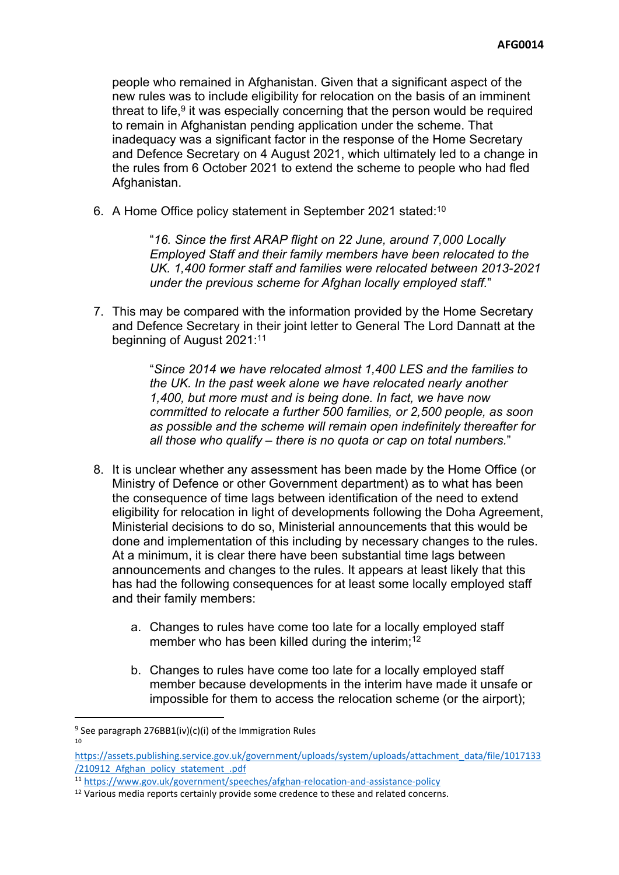people who remained in Afghanistan. Given that a significant aspect of the new rules was to include eligibility for relocation on the basis of an imminent threat to life,<sup>9</sup> it was especially concerning that the person would be required to remain in Afghanistan pending application under the scheme. That inadequacy was a significant factor in the response of the Home Secretary and Defence Secretary on 4 August 2021, which ultimately led to a change in the rules from 6 October 2021 to extend the scheme to people who had fled Afghanistan.

6. A Home Office policy statement in September 2021 stated:<sup>10</sup>

"*16. Since the first ARAP flight on 22 June, around 7,000 Locally Employed Staff and their family members have been relocated to the UK. 1,400 former staff and families were relocated between 2013-2021 under the previous scheme for Afghan locally employed staff.*"

7. This may be compared with the information provided by the Home Secretary and Defence Secretary in their joint letter to General The Lord Dannatt at the beginning of August 2021:<sup>11</sup>

> "*Since 2014 we have relocated almost 1,400 LES and the families to the UK. In the past week alone we have relocated nearly another 1,400, but more must and is being done. In fact, we have now committed to relocate a further 500 families, or 2,500 people, as soon as possible and the scheme will remain open indefinitely thereafter for all those who qualify – there is no quota or cap on total numbers.*"

- 8. It is unclear whether any assessment has been made by the Home Office (or Ministry of Defence or other Government department) as to what has been the consequence of time lags between identification of the need to extend eligibility for relocation in light of developments following the Doha Agreement, Ministerial decisions to do so, Ministerial announcements that this would be done and implementation of this including by necessary changes to the rules. At a minimum, it is clear there have been substantial time lags between announcements and changes to the rules. It appears at least likely that this has had the following consequences for at least some locally employed staff and their family members:
	- a. Changes to rules have come too late for a locally employed staff member who has been killed during the interim;<sup>12</sup>
	- b. Changes to rules have come too late for a locally employed staff member because developments in the interim have made it unsafe or impossible for them to access the relocation scheme (or the airport);

<sup>&</sup>lt;sup>9</sup> See paragraph 276BB1(iv)(c)(i) of the Immigration Rules 10

[https://assets.publishing.service.gov.uk/government/uploads/system/uploads/attachment\\_data/file/1017133](https://assets.publishing.service.gov.uk/government/uploads/system/uploads/attachment_data/file/1017133/210912_Afghan_policy_statement_.pdf) [/210912\\_Afghan\\_policy\\_statement\\_.pdf](https://assets.publishing.service.gov.uk/government/uploads/system/uploads/attachment_data/file/1017133/210912_Afghan_policy_statement_.pdf)

<sup>11</sup> <https://www.gov.uk/government/speeches/afghan-relocation-and-assistance-policy>

 $12$  Various media reports certainly provide some credence to these and related concerns.